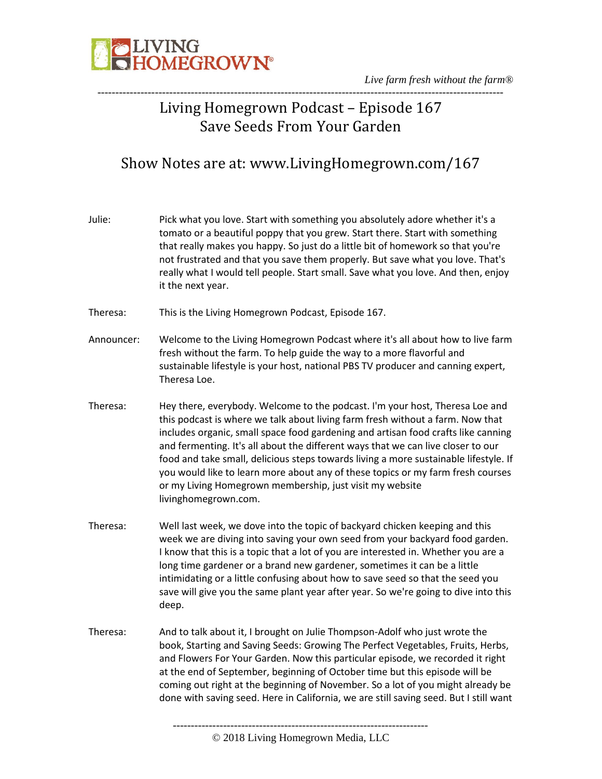

*Live farm fresh without the farm®* -----------------------------------------------------------------------------------------------------------------

### Living Homegrown Podcast – Episode 167 Save Seeds From Your Garden

### Show Notes are at: www.LivingHomegrown.com/167

| Julie:     | Pick what you love. Start with something you absolutely adore whether it's a<br>tomato or a beautiful poppy that you grew. Start there. Start with something<br>that really makes you happy. So just do a little bit of homework so that you're<br>not frustrated and that you save them properly. But save what you love. That's<br>really what I would tell people. Start small. Save what you love. And then, enjoy<br>it the next year.                                                                                                                                                            |
|------------|--------------------------------------------------------------------------------------------------------------------------------------------------------------------------------------------------------------------------------------------------------------------------------------------------------------------------------------------------------------------------------------------------------------------------------------------------------------------------------------------------------------------------------------------------------------------------------------------------------|
| Theresa:   | This is the Living Homegrown Podcast, Episode 167.                                                                                                                                                                                                                                                                                                                                                                                                                                                                                                                                                     |
| Announcer: | Welcome to the Living Homegrown Podcast where it's all about how to live farm<br>fresh without the farm. To help guide the way to a more flavorful and<br>sustainable lifestyle is your host, national PBS TV producer and canning expert,<br>Theresa Loe.                                                                                                                                                                                                                                                                                                                                             |
| Theresa:   | Hey there, everybody. Welcome to the podcast. I'm your host, Theresa Loe and<br>this podcast is where we talk about living farm fresh without a farm. Now that<br>includes organic, small space food gardening and artisan food crafts like canning<br>and fermenting. It's all about the different ways that we can live closer to our<br>food and take small, delicious steps towards living a more sustainable lifestyle. If<br>you would like to learn more about any of these topics or my farm fresh courses<br>or my Living Homegrown membership, just visit my website<br>livinghomegrown.com. |
| Theresa:   | Well last week, we dove into the topic of backyard chicken keeping and this<br>week we are diving into saving your own seed from your backyard food garden.<br>I know that this is a topic that a lot of you are interested in. Whether you are a<br>long time gardener or a brand new gardener, sometimes it can be a little<br>intimidating or a little confusing about how to save seed so that the seed you<br>save will give you the same plant year after year. So we're going to dive into this<br>deep.                                                                                        |
| Theresa:   | And to talk about it, I brought on Julie Thompson-Adolf who just wrote the<br>book, Starting and Saving Seeds: Growing The Perfect Vegetables, Fruits, Herbs,<br>and Flowers For Your Garden. Now this particular episode, we recorded it right<br>at the end of September, beginning of October time but this episode will be<br>coming out right at the beginning of November. So a lot of you might already be<br>done with saving seed. Here in California, we are still saving seed. But I still want                                                                                             |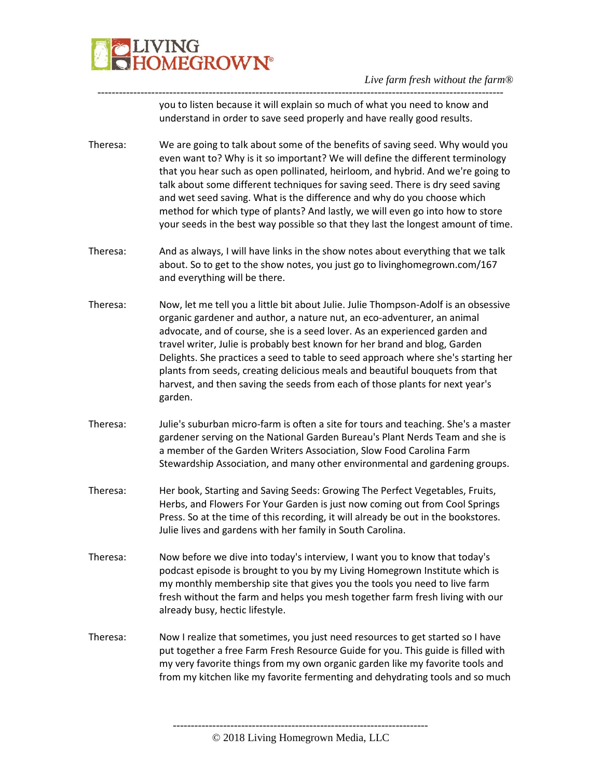

---------------------------------------------------------------------------------------------------------------- you to listen because it will explain so much of what you need to know and understand in order to save seed properly and have really good results.

- Theresa: We are going to talk about some of the benefits of saving seed. Why would you even want to? Why is it so important? We will define the different terminology that you hear such as open pollinated, heirloom, and hybrid. And we're going to talk about some different techniques for saving seed. There is dry seed saving and wet seed saving. What is the difference and why do you choose which method for which type of plants? And lastly, we will even go into how to store your seeds in the best way possible so that they last the longest amount of time.
- Theresa: And as always, I will have links in the show notes about everything that we talk about. So to get to the show notes, you just go to livinghomegrown.com/167 and everything will be there.
- Theresa: Now, let me tell you a little bit about Julie. Julie Thompson-Adolf is an obsessive organic gardener and author, a nature nut, an eco-adventurer, an animal advocate, and of course, she is a seed lover. As an experienced garden and travel writer, Julie is probably best known for her brand and blog, Garden Delights. She practices a seed to table to seed approach where she's starting her plants from seeds, creating delicious meals and beautiful bouquets from that harvest, and then saving the seeds from each of those plants for next year's garden.
- Theresa: Julie's suburban micro-farm is often a site for tours and teaching. She's a master gardener serving on the National Garden Bureau's Plant Nerds Team and she is a member of the Garden Writers Association, Slow Food Carolina Farm Stewardship Association, and many other environmental and gardening groups.
- Theresa: Her book, Starting and Saving Seeds: Growing The Perfect Vegetables, Fruits, Herbs, and Flowers For Your Garden is just now coming out from Cool Springs Press. So at the time of this recording, it will already be out in the bookstores. Julie lives and gardens with her family in South Carolina.
- Theresa: Now before we dive into today's interview, I want you to know that today's podcast episode is brought to you by my Living Homegrown Institute which is my monthly membership site that gives you the tools you need to live farm fresh without the farm and helps you mesh together farm fresh living with our already busy, hectic lifestyle.
- Theresa: Now I realize that sometimes, you just need resources to get started so I have put together a free Farm Fresh Resource Guide for you. This guide is filled with my very favorite things from my own organic garden like my favorite tools and from my kitchen like my favorite fermenting and dehydrating tools and so much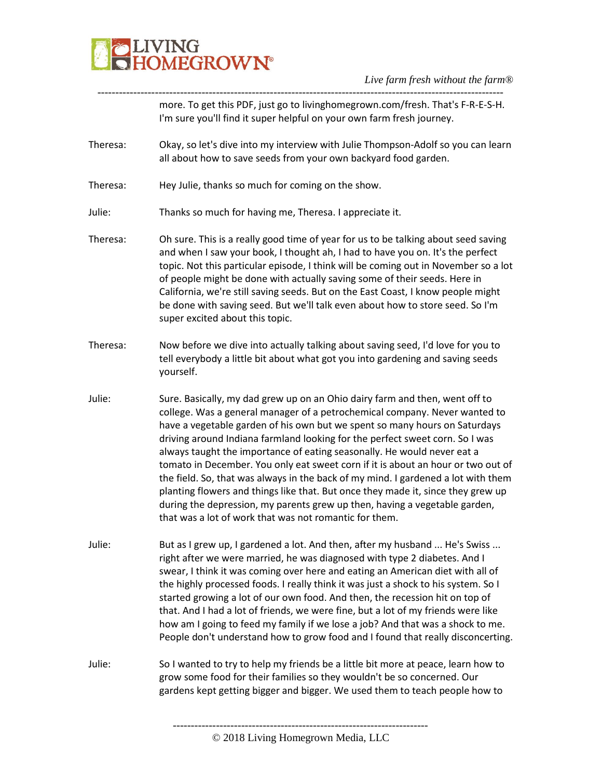

---------------------------------------------------------------------------------------------------------------- more. To get this PDF, just go to livinghomegrown.com/fresh. That's F-R-E-S-H. I'm sure you'll find it super helpful on your own farm fresh journey.

- Theresa: Okay, so let's dive into my interview with Julie Thompson-Adolf so you can learn all about how to save seeds from your own backyard food garden.
- Theresa: Hey Julie, thanks so much for coming on the show.
- Julie: Thanks so much for having me, Theresa. I appreciate it.
- Theresa: Oh sure. This is a really good time of year for us to be talking about seed saving and when I saw your book, I thought ah, I had to have you on. It's the perfect topic. Not this particular episode, I think will be coming out in November so a lot of people might be done with actually saving some of their seeds. Here in California, we're still saving seeds. But on the East Coast, I know people might be done with saving seed. But we'll talk even about how to store seed. So I'm super excited about this topic.
- Theresa: Now before we dive into actually talking about saving seed, I'd love for you to tell everybody a little bit about what got you into gardening and saving seeds yourself.
- Julie: Sure. Basically, my dad grew up on an Ohio dairy farm and then, went off to college. Was a general manager of a petrochemical company. Never wanted to have a vegetable garden of his own but we spent so many hours on Saturdays driving around Indiana farmland looking for the perfect sweet corn. So I was always taught the importance of eating seasonally. He would never eat a tomato in December. You only eat sweet corn if it is about an hour or two out of the field. So, that was always in the back of my mind. I gardened a lot with them planting flowers and things like that. But once they made it, since they grew up during the depression, my parents grew up then, having a vegetable garden, that was a lot of work that was not romantic for them.
- Julie: But as I grew up, I gardened a lot. And then, after my husband ... He's Swiss ... right after we were married, he was diagnosed with type 2 diabetes. And I swear, I think it was coming over here and eating an American diet with all of the highly processed foods. I really think it was just a shock to his system. So I started growing a lot of our own food. And then, the recession hit on top of that. And I had a lot of friends, we were fine, but a lot of my friends were like how am I going to feed my family if we lose a job? And that was a shock to me. People don't understand how to grow food and I found that really disconcerting.

Julie: So I wanted to try to help my friends be a little bit more at peace, learn how to grow some food for their families so they wouldn't be so concerned. Our gardens kept getting bigger and bigger. We used them to teach people how to

<sup>©</sup> 2018 Living Homegrown Media, LLC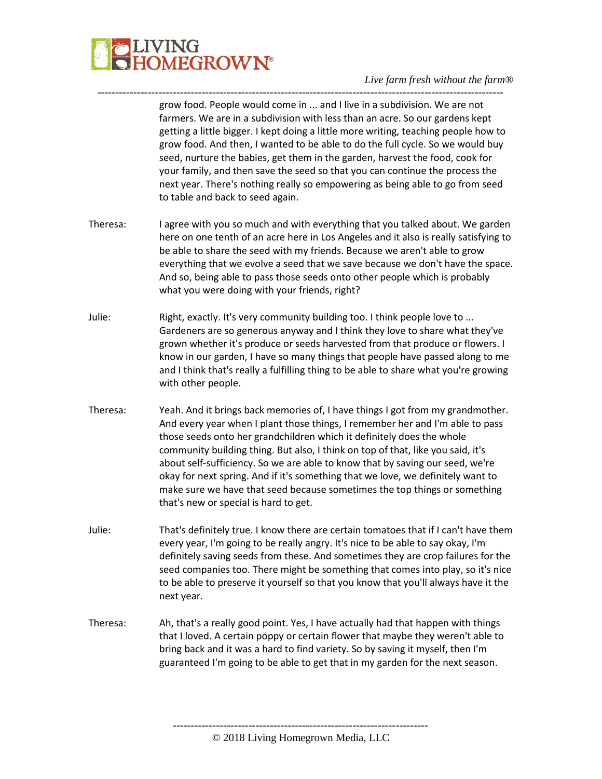

grow food. People would come in ... and I live in a subdivision. We are not farmers. We are in a subdivision with less than an acre. So our gardens kept getting a little bigger. I kept doing a little more writing, teaching people how to grow food. And then, I wanted to be able to do the full cycle. So we would buy seed, nurture the babies, get them in the garden, harvest the food, cook for your family, and then save the seed so that you can continue the process the next year. There's nothing really so empowering as being able to go from seed to table and back to seed again.

Theresa: I agree with you so much and with everything that you talked about. We garden here on one tenth of an acre here in Los Angeles and it also is really satisfying to be able to share the seed with my friends. Because we aren't able to grow everything that we evolve a seed that we save because we don't have the space. And so, being able to pass those seeds onto other people which is probably what you were doing with your friends, right?

-----------------------------------------------------------------------------------------------------------------

- Julie: Right, exactly. It's very community building too. I think people love to ... Gardeners are so generous anyway and I think they love to share what they've grown whether it's produce or seeds harvested from that produce or flowers. I know in our garden, I have so many things that people have passed along to me and I think that's really a fulfilling thing to be able to share what you're growing with other people.
- Theresa: Yeah. And it brings back memories of, I have things I got from my grandmother. And every year when I plant those things, I remember her and I'm able to pass those seeds onto her grandchildren which it definitely does the whole community building thing. But also, I think on top of that, like you said, it's about self-sufficiency. So we are able to know that by saving our seed, we're okay for next spring. And if it's something that we love, we definitely want to make sure we have that seed because sometimes the top things or something that's new or special is hard to get.
- Julie: That's definitely true. I know there are certain tomatoes that if I can't have them every year, I'm going to be really angry. It's nice to be able to say okay, I'm definitely saving seeds from these. And sometimes they are crop failures for the seed companies too. There might be something that comes into play, so it's nice to be able to preserve it yourself so that you know that you'll always have it the next year.
- Theresa: Ah, that's a really good point. Yes, I have actually had that happen with things that I loved. A certain poppy or certain flower that maybe they weren't able to bring back and it was a hard to find variety. So by saving it myself, then I'm guaranteed I'm going to be able to get that in my garden for the next season.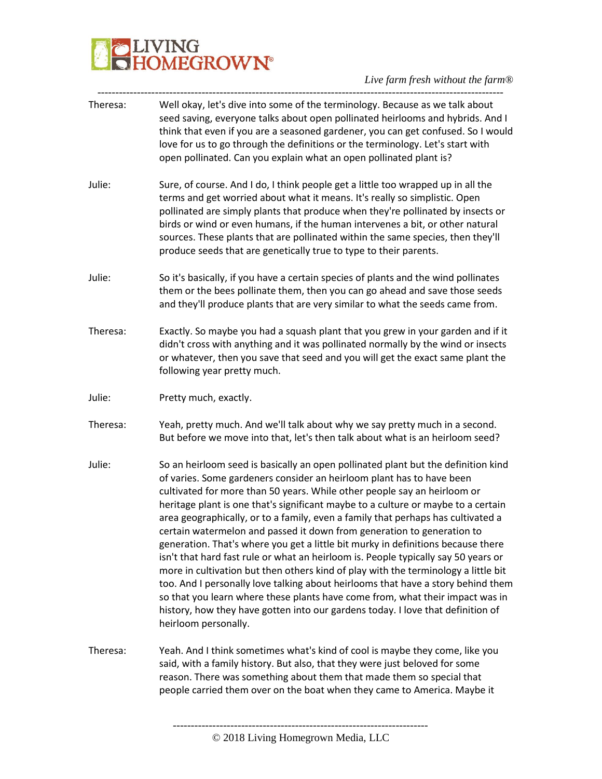| Theresa: | Well okay, let's dive into some of the terminology. Because as we talk about<br>seed saving, everyone talks about open pollinated heirlooms and hybrids. And I<br>think that even if you are a seasoned gardener, you can get confused. So I would<br>love for us to go through the definitions or the terminology. Let's start with<br>open pollinated. Can you explain what an open pollinated plant is?                                                                                                                                                                                                                                                                                                                                                                                                                                                                                                                                                                                                                                |
|----------|-------------------------------------------------------------------------------------------------------------------------------------------------------------------------------------------------------------------------------------------------------------------------------------------------------------------------------------------------------------------------------------------------------------------------------------------------------------------------------------------------------------------------------------------------------------------------------------------------------------------------------------------------------------------------------------------------------------------------------------------------------------------------------------------------------------------------------------------------------------------------------------------------------------------------------------------------------------------------------------------------------------------------------------------|
| Julie:   | Sure, of course. And I do, I think people get a little too wrapped up in all the<br>terms and get worried about what it means. It's really so simplistic. Open<br>pollinated are simply plants that produce when they're pollinated by insects or<br>birds or wind or even humans, if the human intervenes a bit, or other natural<br>sources. These plants that are pollinated within the same species, then they'll<br>produce seeds that are genetically true to type to their parents.                                                                                                                                                                                                                                                                                                                                                                                                                                                                                                                                                |
| Julie:   | So it's basically, if you have a certain species of plants and the wind pollinates<br>them or the bees pollinate them, then you can go ahead and save those seeds<br>and they'll produce plants that are very similar to what the seeds came from.                                                                                                                                                                                                                                                                                                                                                                                                                                                                                                                                                                                                                                                                                                                                                                                        |
| Theresa: | Exactly. So maybe you had a squash plant that you grew in your garden and if it<br>didn't cross with anything and it was pollinated normally by the wind or insects<br>or whatever, then you save that seed and you will get the exact same plant the<br>following year pretty much.                                                                                                                                                                                                                                                                                                                                                                                                                                                                                                                                                                                                                                                                                                                                                      |
| Julie:   | Pretty much, exactly.                                                                                                                                                                                                                                                                                                                                                                                                                                                                                                                                                                                                                                                                                                                                                                                                                                                                                                                                                                                                                     |
| Theresa: | Yeah, pretty much. And we'll talk about why we say pretty much in a second.<br>But before we move into that, let's then talk about what is an heirloom seed?                                                                                                                                                                                                                                                                                                                                                                                                                                                                                                                                                                                                                                                                                                                                                                                                                                                                              |
| Julie:   | So an heirloom seed is basically an open pollinated plant but the definition kind<br>of varies. Some gardeners consider an heirloom plant has to have been<br>cultivated for more than 50 years. While other people say an heirloom or<br>heritage plant is one that's significant maybe to a culture or maybe to a certain<br>area geographically, or to a family, even a family that perhaps has cultivated a<br>certain watermelon and passed it down from generation to generation to<br>generation. That's where you get a little bit murky in definitions because there<br>isn't that hard fast rule or what an heirloom is. People typically say 50 years or<br>more in cultivation but then others kind of play with the terminology a little bit<br>too. And I personally love talking about heirlooms that have a story behind them<br>so that you learn where these plants have come from, what their impact was in<br>history, how they have gotten into our gardens today. I love that definition of<br>heirloom personally. |
| Theresa: | Yeah. And I think sometimes what's kind of cool is maybe they come, like you<br>said, with a family history. But also, that they were just beloved for some<br>reason. There was something about them that made them so special that<br>people carried them over on the boat when they came to America. Maybe it                                                                                                                                                                                                                                                                                                                                                                                                                                                                                                                                                                                                                                                                                                                          |
|          |                                                                                                                                                                                                                                                                                                                                                                                                                                                                                                                                                                                                                                                                                                                                                                                                                                                                                                                                                                                                                                           |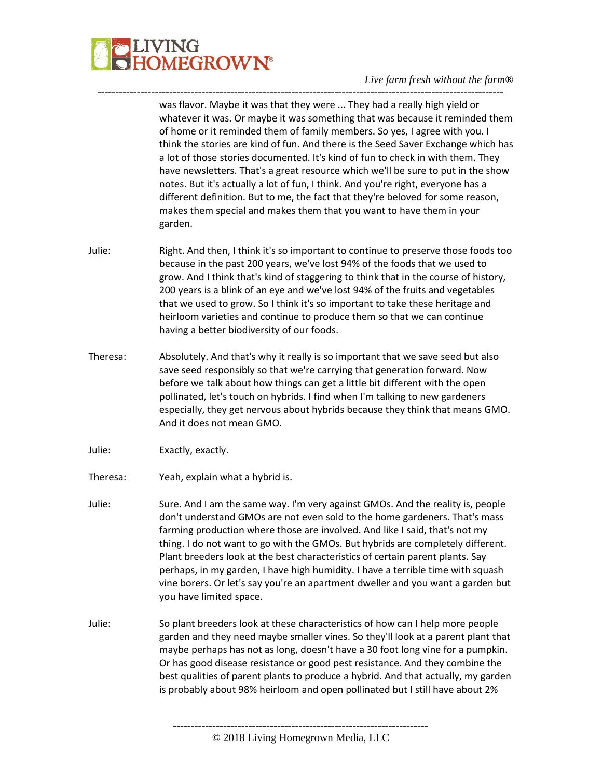

was flavor. Maybe it was that they were ... They had a really high yield or whatever it was. Or maybe it was something that was because it reminded them of home or it reminded them of family members. So yes, I agree with you. I think the stories are kind of fun. And there is the Seed Saver Exchange which has a lot of those stories documented. It's kind of fun to check in with them. They have newsletters. That's a great resource which we'll be sure to put in the show notes. But it's actually a lot of fun, I think. And you're right, everyone has a different definition. But to me, the fact that they're beloved for some reason, makes them special and makes them that you want to have them in your garden.

Julie: Right. And then, I think it's so important to continue to preserve those foods too because in the past 200 years, we've lost 94% of the foods that we used to grow. And I think that's kind of staggering to think that in the course of history, 200 years is a blink of an eye and we've lost 94% of the fruits and vegetables that we used to grow. So I think it's so important to take these heritage and heirloom varieties and continue to produce them so that we can continue having a better biodiversity of our foods.

-----------------------------------------------------------------------------------------------------------------

- Theresa: Absolutely. And that's why it really is so important that we save seed but also save seed responsibly so that we're carrying that generation forward. Now before we talk about how things can get a little bit different with the open pollinated, let's touch on hybrids. I find when I'm talking to new gardeners especially, they get nervous about hybrids because they think that means GMO. And it does not mean GMO.
- Julie: Exactly, exactly.
- Theresa: Yeah, explain what a hybrid is.
- Julie: Sure. And I am the same way. I'm very against GMOs. And the reality is, people don't understand GMOs are not even sold to the home gardeners. That's mass farming production where those are involved. And like I said, that's not my thing. I do not want to go with the GMOs. But hybrids are completely different. Plant breeders look at the best characteristics of certain parent plants. Say perhaps, in my garden, I have high humidity. I have a terrible time with squash vine borers. Or let's say you're an apartment dweller and you want a garden but you have limited space.
- Julie: So plant breeders look at these characteristics of how can I help more people garden and they need maybe smaller vines. So they'll look at a parent plant that maybe perhaps has not as long, doesn't have a 30 foot long vine for a pumpkin. Or has good disease resistance or good pest resistance. And they combine the best qualities of parent plants to produce a hybrid. And that actually, my garden is probably about 98% heirloom and open pollinated but I still have about 2%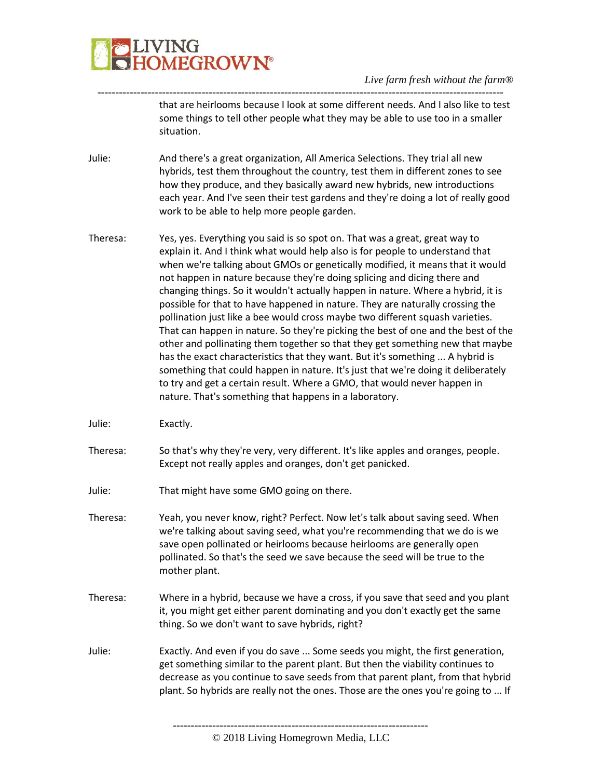

---------------------------------------------------------------------------------------------------------------- that are heirlooms because I look at some different needs. And I also like to test some things to tell other people what they may be able to use too in a smaller situation.

- Julie: And there's a great organization, All America Selections. They trial all new hybrids, test them throughout the country, test them in different zones to see how they produce, and they basically award new hybrids, new introductions each year. And I've seen their test gardens and they're doing a lot of really good work to be able to help more people garden.
- Theresa: Yes, yes. Everything you said is so spot on. That was a great, great way to explain it. And I think what would help also is for people to understand that when we're talking about GMOs or genetically modified, it means that it would not happen in nature because they're doing splicing and dicing there and changing things. So it wouldn't actually happen in nature. Where a hybrid, it is possible for that to have happened in nature. They are naturally crossing the pollination just like a bee would cross maybe two different squash varieties. That can happen in nature. So they're picking the best of one and the best of the other and pollinating them together so that they get something new that maybe has the exact characteristics that they want. But it's something ... A hybrid is something that could happen in nature. It's just that we're doing it deliberately to try and get a certain result. Where a GMO, that would never happen in nature. That's something that happens in a laboratory.

Julie: Exactly.

- Theresa: So that's why they're very, very different. It's like apples and oranges, people. Except not really apples and oranges, don't get panicked.
- Julie: That might have some GMO going on there.
- Theresa: Yeah, you never know, right? Perfect. Now let's talk about saving seed. When we're talking about saving seed, what you're recommending that we do is we save open pollinated or heirlooms because heirlooms are generally open pollinated. So that's the seed we save because the seed will be true to the mother plant.
- Theresa: Where in a hybrid, because we have a cross, if you save that seed and you plant it, you might get either parent dominating and you don't exactly get the same thing. So we don't want to save hybrids, right?
- Julie: Exactly. And even if you do save ... Some seeds you might, the first generation, get something similar to the parent plant. But then the viability continues to decrease as you continue to save seeds from that parent plant, from that hybrid plant. So hybrids are really not the ones. Those are the ones you're going to ... If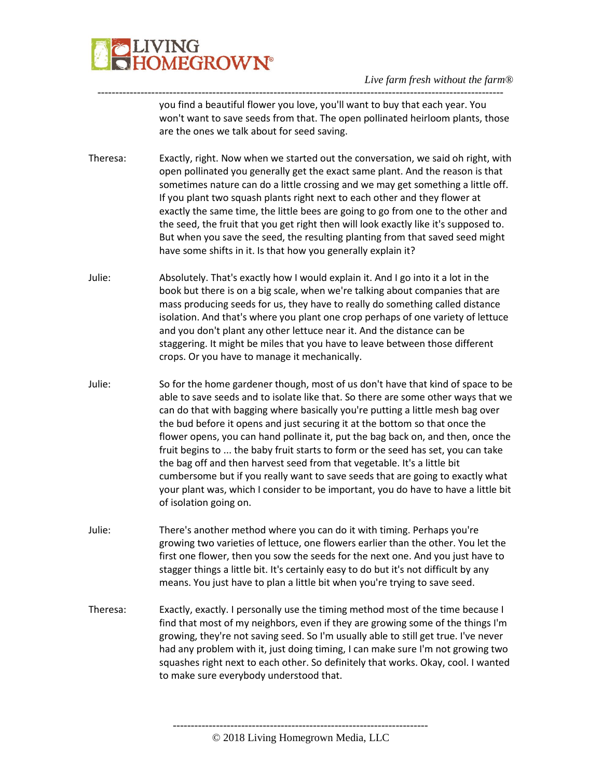

---------------------------------------------------------------------------------------------------------------- you find a beautiful flower you love, you'll want to buy that each year. You won't want to save seeds from that. The open pollinated heirloom plants, those are the ones we talk about for seed saving.

- Theresa: Exactly, right. Now when we started out the conversation, we said oh right, with open pollinated you generally get the exact same plant. And the reason is that sometimes nature can do a little crossing and we may get something a little off. If you plant two squash plants right next to each other and they flower at exactly the same time, the little bees are going to go from one to the other and the seed, the fruit that you get right then will look exactly like it's supposed to. But when you save the seed, the resulting planting from that saved seed might have some shifts in it. Is that how you generally explain it?
- Julie: Absolutely. That's exactly how I would explain it. And I go into it a lot in the book but there is on a big scale, when we're talking about companies that are mass producing seeds for us, they have to really do something called distance isolation. And that's where you plant one crop perhaps of one variety of lettuce and you don't plant any other lettuce near it. And the distance can be staggering. It might be miles that you have to leave between those different crops. Or you have to manage it mechanically.
- Julie: So for the home gardener though, most of us don't have that kind of space to be able to save seeds and to isolate like that. So there are some other ways that we can do that with bagging where basically you're putting a little mesh bag over the bud before it opens and just securing it at the bottom so that once the flower opens, you can hand pollinate it, put the bag back on, and then, once the fruit begins to ... the baby fruit starts to form or the seed has set, you can take the bag off and then harvest seed from that vegetable. It's a little bit cumbersome but if you really want to save seeds that are going to exactly what your plant was, which I consider to be important, you do have to have a little bit of isolation going on.
- Julie: There's another method where you can do it with timing. Perhaps you're growing two varieties of lettuce, one flowers earlier than the other. You let the first one flower, then you sow the seeds for the next one. And you just have to stagger things a little bit. It's certainly easy to do but it's not difficult by any means. You just have to plan a little bit when you're trying to save seed.
- Theresa: Exactly, exactly. I personally use the timing method most of the time because I find that most of my neighbors, even if they are growing some of the things I'm growing, they're not saving seed. So I'm usually able to still get true. I've never had any problem with it, just doing timing, I can make sure I'm not growing two squashes right next to each other. So definitely that works. Okay, cool. I wanted to make sure everybody understood that.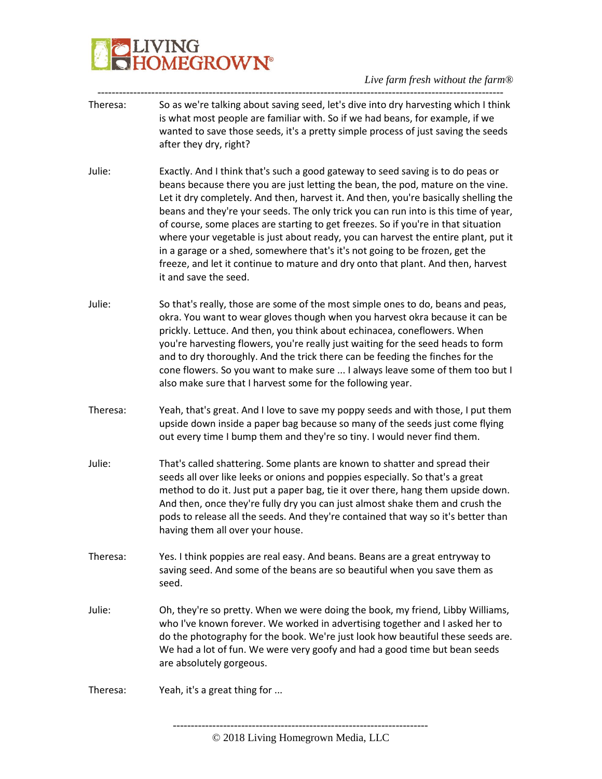# VING<br>DM<mark>EGROWN°</mark>

*Live farm fresh without the farm®*

- ----------------------------------------------------------------------------------------------------------------- Theresa: So as we're talking about saving seed, let's dive into dry harvesting which I think is what most people are familiar with. So if we had beans, for example, if we wanted to save those seeds, it's a pretty simple process of just saving the seeds after they dry, right?
- Julie: Exactly. And I think that's such a good gateway to seed saving is to do peas or beans because there you are just letting the bean, the pod, mature on the vine. Let it dry completely. And then, harvest it. And then, you're basically shelling the beans and they're your seeds. The only trick you can run into is this time of year, of course, some places are starting to get freezes. So if you're in that situation where your vegetable is just about ready, you can harvest the entire plant, put it in a garage or a shed, somewhere that's it's not going to be frozen, get the freeze, and let it continue to mature and dry onto that plant. And then, harvest it and save the seed.
- Julie: So that's really, those are some of the most simple ones to do, beans and peas, okra. You want to wear gloves though when you harvest okra because it can be prickly. Lettuce. And then, you think about echinacea, coneflowers. When you're harvesting flowers, you're really just waiting for the seed heads to form and to dry thoroughly. And the trick there can be feeding the finches for the cone flowers. So you want to make sure ... I always leave some of them too but I also make sure that I harvest some for the following year.
- Theresa: Yeah, that's great. And I love to save my poppy seeds and with those, I put them upside down inside a paper bag because so many of the seeds just come flying out every time I bump them and they're so tiny. I would never find them.
- Julie: That's called shattering. Some plants are known to shatter and spread their seeds all over like leeks or onions and poppies especially. So that's a great method to do it. Just put a paper bag, tie it over there, hang them upside down. And then, once they're fully dry you can just almost shake them and crush the pods to release all the seeds. And they're contained that way so it's better than having them all over your house.
- Theresa: Yes. I think poppies are real easy. And beans. Beans are a great entryway to saving seed. And some of the beans are so beautiful when you save them as seed.
- Julie: Oh, they're so pretty. When we were doing the book, my friend, Libby Williams, who I've known forever. We worked in advertising together and I asked her to do the photography for the book. We're just look how beautiful these seeds are. We had a lot of fun. We were very goofy and had a good time but bean seeds are absolutely gorgeous.
- Theresa: Yeah, it's a great thing for ...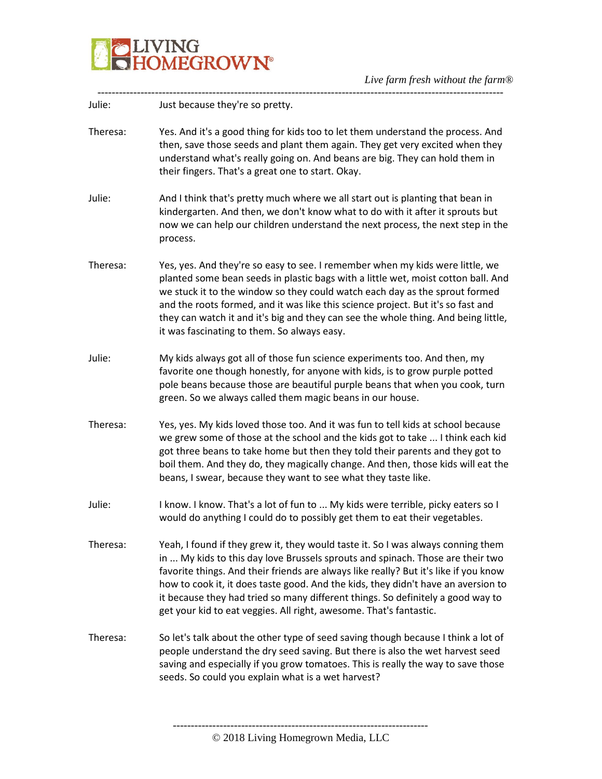

| Julie:   | Just because they're so pretty.                                                                                                                                                                                                                                                                                                                                                                                                                                                                          |
|----------|----------------------------------------------------------------------------------------------------------------------------------------------------------------------------------------------------------------------------------------------------------------------------------------------------------------------------------------------------------------------------------------------------------------------------------------------------------------------------------------------------------|
| Theresa: | Yes. And it's a good thing for kids too to let them understand the process. And<br>then, save those seeds and plant them again. They get very excited when they<br>understand what's really going on. And beans are big. They can hold them in<br>their fingers. That's a great one to start. Okay.                                                                                                                                                                                                      |
| Julie:   | And I think that's pretty much where we all start out is planting that bean in<br>kindergarten. And then, we don't know what to do with it after it sprouts but<br>now we can help our children understand the next process, the next step in the<br>process.                                                                                                                                                                                                                                            |
| Theresa: | Yes, yes. And they're so easy to see. I remember when my kids were little, we<br>planted some bean seeds in plastic bags with a little wet, moist cotton ball. And<br>we stuck it to the window so they could watch each day as the sprout formed<br>and the roots formed, and it was like this science project. But it's so fast and<br>they can watch it and it's big and they can see the whole thing. And being little,<br>it was fascinating to them. So always easy.                               |
| Julie:   | My kids always got all of those fun science experiments too. And then, my<br>favorite one though honestly, for anyone with kids, is to grow purple potted<br>pole beans because those are beautiful purple beans that when you cook, turn<br>green. So we always called them magic beans in our house.                                                                                                                                                                                                   |
| Theresa: | Yes, yes. My kids loved those too. And it was fun to tell kids at school because<br>we grew some of those at the school and the kids got to take  I think each kid<br>got three beans to take home but then they told their parents and they got to<br>boil them. And they do, they magically change. And then, those kids will eat the<br>beans, I swear, because they want to see what they taste like.                                                                                                |
| Julie:   | I know. I know. That's a lot of fun to  My kids were terrible, picky eaters so I<br>would do anything I could do to possibly get them to eat their vegetables.                                                                                                                                                                                                                                                                                                                                           |
| Theresa: | Yeah, I found if they grew it, they would taste it. So I was always conning them<br>in  My kids to this day love Brussels sprouts and spinach. Those are their two<br>favorite things. And their friends are always like really? But it's like if you know<br>how to cook it, it does taste good. And the kids, they didn't have an aversion to<br>it because they had tried so many different things. So definitely a good way to<br>get your kid to eat veggies. All right, awesome. That's fantastic. |
| Theresa: | So let's talk about the other type of seed saving though because I think a lot of<br>people understand the dry seed saving. But there is also the wet harvest seed<br>saving and especially if you grow tomatoes. This is really the way to save those<br>seeds. So could you explain what is a wet harvest?                                                                                                                                                                                             |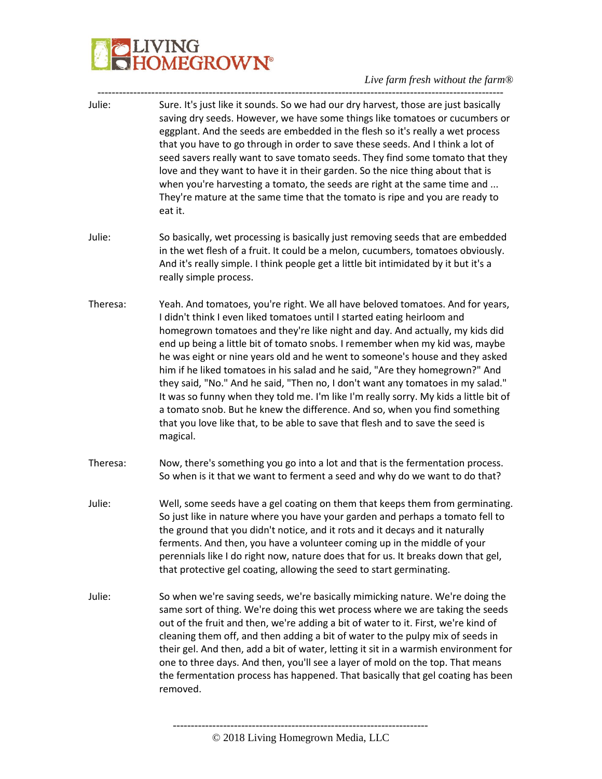| Julie:   | Sure. It's just like it sounds. So we had our dry harvest, those are just basically<br>saving dry seeds. However, we have some things like tomatoes or cucumbers or<br>eggplant. And the seeds are embedded in the flesh so it's really a wet process<br>that you have to go through in order to save these seeds. And I think a lot of<br>seed savers really want to save tomato seeds. They find some tomato that they<br>love and they want to have it in their garden. So the nice thing about that is<br>when you're harvesting a tomato, the seeds are right at the same time and<br>They're mature at the same time that the tomato is ripe and you are ready to<br>eat it.                                                                                                                                                                 |
|----------|----------------------------------------------------------------------------------------------------------------------------------------------------------------------------------------------------------------------------------------------------------------------------------------------------------------------------------------------------------------------------------------------------------------------------------------------------------------------------------------------------------------------------------------------------------------------------------------------------------------------------------------------------------------------------------------------------------------------------------------------------------------------------------------------------------------------------------------------------|
| Julie:   | So basically, wet processing is basically just removing seeds that are embedded<br>in the wet flesh of a fruit. It could be a melon, cucumbers, tomatoes obviously.<br>And it's really simple. I think people get a little bit intimidated by it but it's a<br>really simple process.                                                                                                                                                                                                                                                                                                                                                                                                                                                                                                                                                              |
| Theresa: | Yeah. And tomatoes, you're right. We all have beloved tomatoes. And for years,<br>I didn't think I even liked tomatoes until I started eating heirloom and<br>homegrown tomatoes and they're like night and day. And actually, my kids did<br>end up being a little bit of tomato snobs. I remember when my kid was, maybe<br>he was eight or nine years old and he went to someone's house and they asked<br>him if he liked tomatoes in his salad and he said, "Are they homegrown?" And<br>they said, "No." And he said, "Then no, I don't want any tomatoes in my salad."<br>It was so funny when they told me. I'm like I'm really sorry. My kids a little bit of<br>a tomato snob. But he knew the difference. And so, when you find something<br>that you love like that, to be able to save that flesh and to save the seed is<br>magical. |
| Theresa: | Now, there's something you go into a lot and that is the fermentation process.<br>So when is it that we want to ferment a seed and why do we want to do that?                                                                                                                                                                                                                                                                                                                                                                                                                                                                                                                                                                                                                                                                                      |
| Julie:   | Well, some seeds have a gel coating on them that keeps them from germinating.<br>So just like in nature where you have your garden and perhaps a tomato fell to<br>the ground that you didn't notice, and it rots and it decays and it naturally<br>ferments. And then, you have a volunteer coming up in the middle of your<br>perennials like I do right now, nature does that for us. It breaks down that gel,<br>that protective gel coating, allowing the seed to start germinating.                                                                                                                                                                                                                                                                                                                                                          |
| Julie:   | So when we're saving seeds, we're basically mimicking nature. We're doing the<br>same sort of thing. We're doing this wet process where we are taking the seeds<br>out of the fruit and then, we're adding a bit of water to it. First, we're kind of<br>cleaning them off, and then adding a bit of water to the pulpy mix of seeds in<br>their gel. And then, add a bit of water, letting it sit in a warmish environment for<br>one to three days. And then, you'll see a layer of mold on the top. That means<br>the fermentation process has happened. That basically that gel coating has been<br>removed.                                                                                                                                                                                                                                   |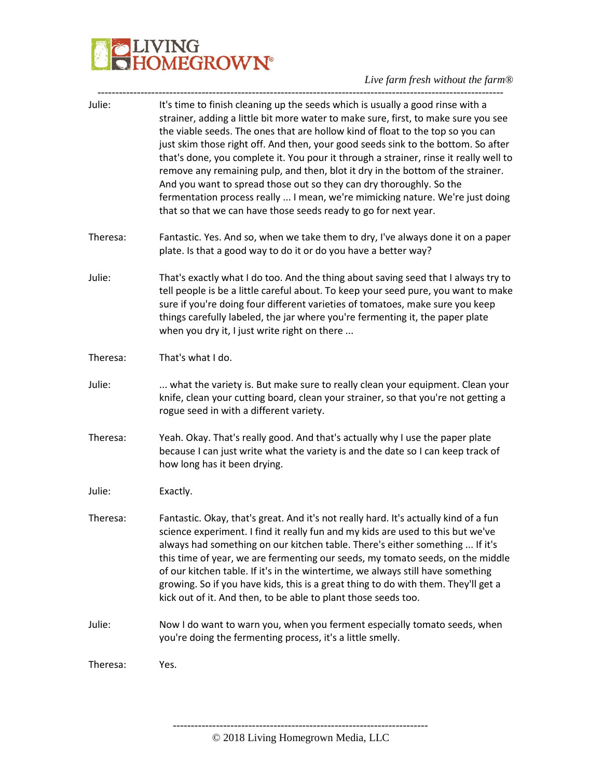#### *Live farm fresh without the farm®*

| Julie:   | It's time to finish cleaning up the seeds which is usually a good rinse with a<br>strainer, adding a little bit more water to make sure, first, to make sure you see<br>the viable seeds. The ones that are hollow kind of float to the top so you can<br>just skim those right off. And then, your good seeds sink to the bottom. So after<br>that's done, you complete it. You pour it through a strainer, rinse it really well to<br>remove any remaining pulp, and then, blot it dry in the bottom of the strainer.<br>And you want to spread those out so they can dry thoroughly. So the<br>fermentation process really  I mean, we're mimicking nature. We're just doing<br>that so that we can have those seeds ready to go for next year. |
|----------|----------------------------------------------------------------------------------------------------------------------------------------------------------------------------------------------------------------------------------------------------------------------------------------------------------------------------------------------------------------------------------------------------------------------------------------------------------------------------------------------------------------------------------------------------------------------------------------------------------------------------------------------------------------------------------------------------------------------------------------------------|
| Theresa: | Fantastic. Yes. And so, when we take them to dry, I've always done it on a paper<br>plate. Is that a good way to do it or do you have a better way?                                                                                                                                                                                                                                                                                                                                                                                                                                                                                                                                                                                                |
| Julie:   | That's exactly what I do too. And the thing about saving seed that I always try to<br>tell people is be a little careful about. To keep your seed pure, you want to make<br>sure if you're doing four different varieties of tomatoes, make sure you keep<br>things carefully labeled, the jar where you're fermenting it, the paper plate<br>when you dry it, I just write right on there                                                                                                                                                                                                                                                                                                                                                         |
| Theresa: | That's what I do.                                                                                                                                                                                                                                                                                                                                                                                                                                                                                                                                                                                                                                                                                                                                  |
| Julie:   | what the variety is. But make sure to really clean your equipment. Clean your<br>knife, clean your cutting board, clean your strainer, so that you're not getting a<br>rogue seed in with a different variety.                                                                                                                                                                                                                                                                                                                                                                                                                                                                                                                                     |
| Theresa: | Yeah. Okay. That's really good. And that's actually why I use the paper plate<br>because I can just write what the variety is and the date so I can keep track of<br>how long has it been drying.                                                                                                                                                                                                                                                                                                                                                                                                                                                                                                                                                  |
| Julie:   | Exactly.                                                                                                                                                                                                                                                                                                                                                                                                                                                                                                                                                                                                                                                                                                                                           |
| Theresa: | Fantastic. Okay, that's great. And it's not really hard. It's actually kind of a fun<br>science experiment. I find it really fun and my kids are used to this but we've<br>always had something on our kitchen table. There's either something  If it's<br>this time of year, we are fermenting our seeds, my tomato seeds, on the middle<br>of our kitchen table. If it's in the wintertime, we always still have something<br>growing. So if you have kids, this is a great thing to do with them. They'll get a<br>kick out of it. And then, to be able to plant those seeds too.                                                                                                                                                               |
| Julie:   | Now I do want to warn you, when you ferment especially tomato seeds, when<br>you're doing the fermenting process, it's a little smelly.                                                                                                                                                                                                                                                                                                                                                                                                                                                                                                                                                                                                            |
| Theresa: | Yes.                                                                                                                                                                                                                                                                                                                                                                                                                                                                                                                                                                                                                                                                                                                                               |
|          |                                                                                                                                                                                                                                                                                                                                                                                                                                                                                                                                                                                                                                                                                                                                                    |

----------------------------------------------------------------------- © 2018 Living Homegrown Media, LLC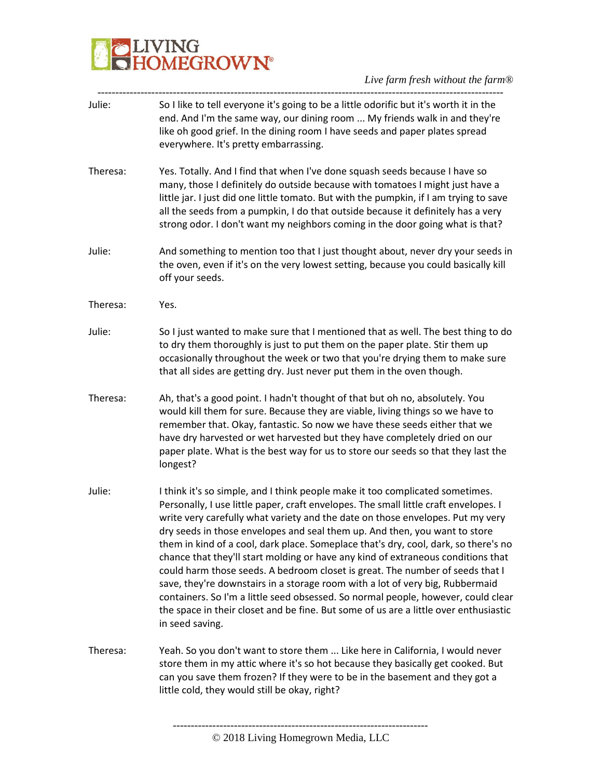| Julie:   | So I like to tell everyone it's going to be a little odorific but it's worth it in the<br>end. And I'm the same way, our dining room  My friends walk in and they're<br>like oh good grief. In the dining room I have seeds and paper plates spread<br>everywhere. It's pretty embarrassing.                                                                                                                                                                                                                                                                                                                                                                                                                                                                                                                                                                                       |
|----------|------------------------------------------------------------------------------------------------------------------------------------------------------------------------------------------------------------------------------------------------------------------------------------------------------------------------------------------------------------------------------------------------------------------------------------------------------------------------------------------------------------------------------------------------------------------------------------------------------------------------------------------------------------------------------------------------------------------------------------------------------------------------------------------------------------------------------------------------------------------------------------|
| Theresa: | Yes. Totally. And I find that when I've done squash seeds because I have so<br>many, those I definitely do outside because with tomatoes I might just have a<br>little jar. I just did one little tomato. But with the pumpkin, if I am trying to save<br>all the seeds from a pumpkin, I do that outside because it definitely has a very<br>strong odor. I don't want my neighbors coming in the door going what is that?                                                                                                                                                                                                                                                                                                                                                                                                                                                        |
| Julie:   | And something to mention too that I just thought about, never dry your seeds in<br>the oven, even if it's on the very lowest setting, because you could basically kill<br>off your seeds.                                                                                                                                                                                                                                                                                                                                                                                                                                                                                                                                                                                                                                                                                          |
| Theresa: | Yes.                                                                                                                                                                                                                                                                                                                                                                                                                                                                                                                                                                                                                                                                                                                                                                                                                                                                               |
| Julie:   | So I just wanted to make sure that I mentioned that as well. The best thing to do<br>to dry them thoroughly is just to put them on the paper plate. Stir them up<br>occasionally throughout the week or two that you're drying them to make sure<br>that all sides are getting dry. Just never put them in the oven though.                                                                                                                                                                                                                                                                                                                                                                                                                                                                                                                                                        |
| Theresa: | Ah, that's a good point. I hadn't thought of that but oh no, absolutely. You<br>would kill them for sure. Because they are viable, living things so we have to<br>remember that. Okay, fantastic. So now we have these seeds either that we<br>have dry harvested or wet harvested but they have completely dried on our<br>paper plate. What is the best way for us to store our seeds so that they last the<br>longest?                                                                                                                                                                                                                                                                                                                                                                                                                                                          |
| Julie:   | I think it's so simple, and I think people make it too complicated sometimes.<br>Personally, I use little paper, craft envelopes. The small little craft envelopes. I<br>write very carefully what variety and the date on those envelopes. Put my very<br>dry seeds in those envelopes and seal them up. And then, you want to store<br>them in kind of a cool, dark place. Someplace that's dry, cool, dark, so there's no<br>chance that they'll start molding or have any kind of extraneous conditions that<br>could harm those seeds. A bedroom closet is great. The number of seeds that I<br>save, they're downstairs in a storage room with a lot of very big, Rubbermaid<br>containers. So I'm a little seed obsessed. So normal people, however, could clear<br>the space in their closet and be fine. But some of us are a little over enthusiastic<br>in seed saving. |
| Theresa: | Yeah. So you don't want to store them  Like here in California, I would never<br>store them in my attic where it's so hot because they basically get cooked. But<br>can you save them frozen? If they were to be in the basement and they got a<br>little cold, they would still be okay, right?                                                                                                                                                                                                                                                                                                                                                                                                                                                                                                                                                                                   |